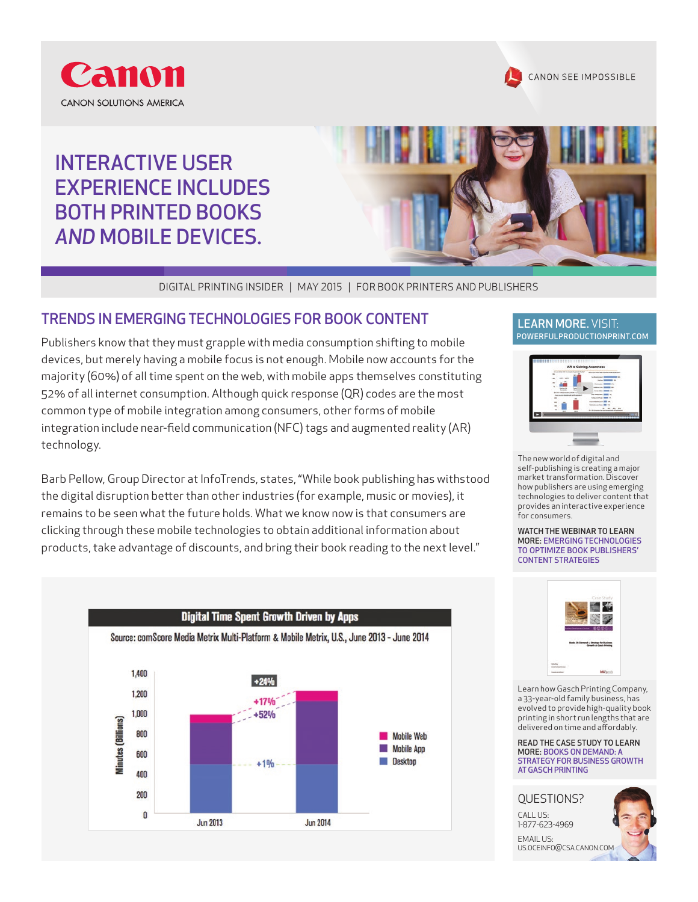

## INTERACTIVE USER EXPERIENCE INCLUDES BOTH PRINTED BOOKS *AND* MOBILE DEVICES.



DIGITAL PRINTING INSIDER | MAY 2015 | FOR BOOK PRINTERS AND PUBLISHERS

### TRENDS IN EMERGING TECHNOLOGIES FOR BOOK CONTENT THE RAN MORE. VISIT:

Publishers know that they must grapple with media consumption shifting to mobile devices, but merely having a mobile focus is not enough. Mobile now accounts for the majority (60%) of all time spent on the web, with mobile apps themselves constituting 52% of all internet consumption. Although quick response (QR) codes are the most common type of mobile integration among consumers, other forms of mobile integration include near-field communication (NFC) tags and augmented reality (AR) technology.

Barb Pellow, Group Director at InfoTrends, states, "While book publishing has withstood the digital disruption better than other industries (for example, music or movies), it remains to be seen what the future holds. What we know now is that consumers are clicking through these mobile technologies to obtain additional information about products, take advantage of discounts, and bring their book reading to the next level."



CANON SEE IMPOSSIBLE



The new world of digital and self-publishing is creating a major market transformation. Discover how publishers are using emerging technologies to deliver content that provides an interactive experience for consumers.

WATCH THE WEBINAR TO LEARN MORE: EMERGING TECHNOLOGIES TO OPTIMIZE BOOK PUBLISHERS' CONTENT STRATEGIES



Learn how Gasch Printing Company, a 33-year-old family business, has evolved to provide high-quality book printing in short run lengths that are delivered on time and affordably.

READ THE CASE STUDY TO LEARN MORE: BOOKS ON DEMAND: A STRATEGY FOR BUSINESS GROWTH AT GASCH PRINTING



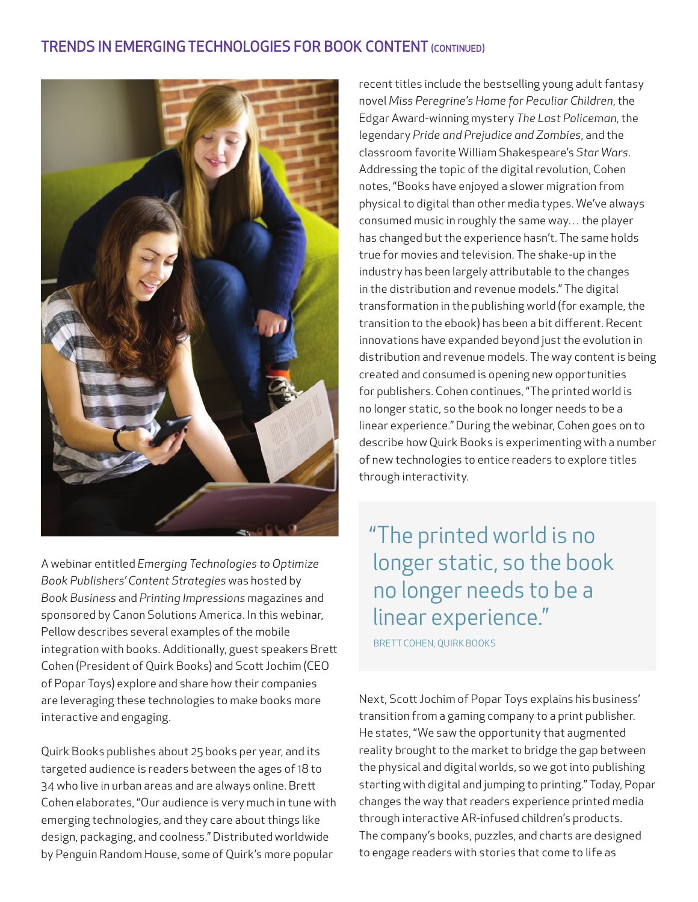## TRENDS IN EMERGING TECHNOLOGIES FOR BOOK CONTENT (CONTINUED)



A webinar entitled *Emerging Technologies to Optimize Book Publishers' Content Strategies* was hosted by *Book Business* and *Printing Impressions* magazines and sponsored by Canon Solutions America. In this webinar, Pellow describes several examples of the mobile integration with books. Additionally, guest speakers Brett Cohen (President of Quirk Books) and Scott Jochim (CEO of Popar Toys) explore and share how their companies are leveraging these technologies to make books more interactive and engaging.

Quirk Books publishes about 25 books per year, and its targeted audience is readers between the ages of 18 to 34 who live in urban areas and are always online. Brett Cohen elaborates, "Our audience is very much in tune with emerging technologies, and they care about things like design, packaging, and coolness." Distributed worldwide by Penguin Random House, some of Quirk's more popular

recent titles include the bestselling young adult fantasy novel *Miss Peregrine's Home for Peculiar Children*, the Edgar Award-winning mystery *The Last Policeman*, the legendary *Pride and Prejudice and Zombies*, and the classroom favorite William Shakespeare's *Star Wars*. Addressing the topic of the digital revolution, Cohen notes, "Books have enjoyed a slower migration from physical to digital than other media types. We've always consumed music in roughly the same way… the player has changed but the experience hasn't. The same holds true for movies and television. The shake-up in the industry has been largely attributable to the changes in the distribution and revenue models." The digital transformation in the publishing world (for example, the transition to the ebook) has been a bit different. Recent innovations have expanded beyond just the evolution in distribution and revenue models. The way content is being created and consumed is opening new opportunities for publishers. Cohen continues, "The printed world is no longer static, so the book no longer needs to be a linear experience." During the webinar, Cohen goes on to describe how Quirk Books is experimenting with a number of new technologies to entice readers to explore titles through interactivity.

# "The printed world is no longer static, so the book no longer needs to be a linear experience."

BRETT COHEN, QUIRK BOOKS

Next, Scott Jochim of Popar Toys explains his business' transition from a gaming company to a print publisher. He states, "We saw the opportunity that augmented reality brought to the market to bridge the gap between the physical and digital worlds, so we got into publishing starting with digital and jumping to printing." Today, Popar changes the way that readers experience printed media through interactive AR-infused children's products. The company's books, puzzles, and charts are designed to engage readers with stories that come to life as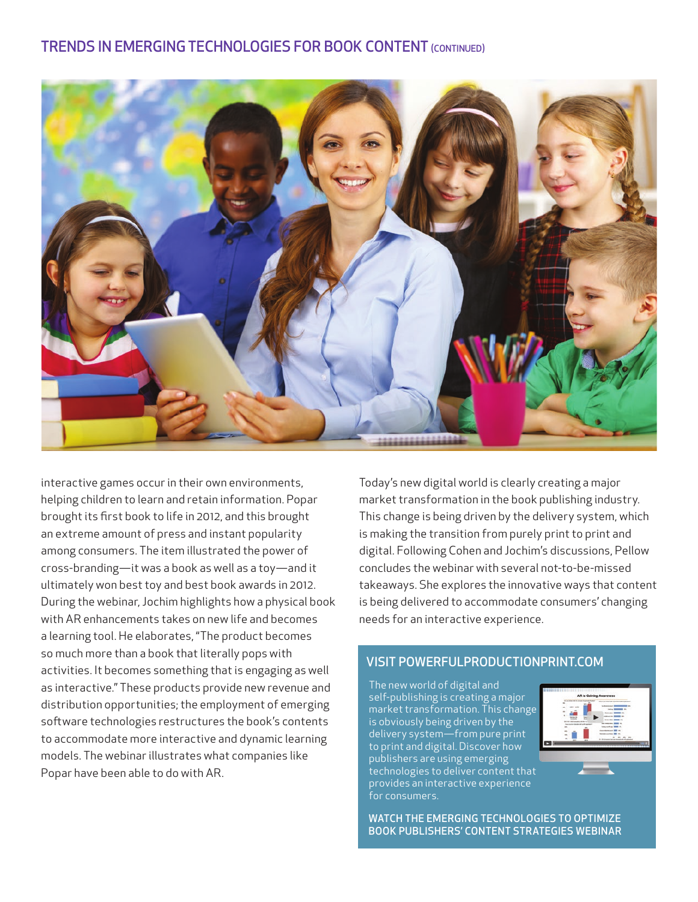

interactive games occur in their own environments, helping children to learn and retain information. Popar brought its first book to life in 2012, and this brought an extreme amount of press and instant popularity among consumers. The item illustrated the power of cross-branding—it was a book as well as a toy—and it ultimately won best toy and best book awards in 2012. During the webinar, Jochim highlights how a physical book with AR enhancements takes on new life and becomes a learning tool. He elaborates, "The product becomes so much more than a book that literally pops with activities. It becomes something that is engaging as well as interactive." These products provide new revenue and distribution opportunities; the employment of emerging software technologies restructures the book's contents to accommodate more interactive and dynamic learning models. The webinar illustrates what companies like Popar have been able to do with AR.

Today's new digital world is clearly creating a major market transformation in the book publishing industry. This change is being driven by the delivery system, which is making the transition from purely print to print and digital. Following Cohen and Jochim's discussions, Pellow concludes the webinar with several not-to-be-missed takeaways. She explores the innovative ways that content is being delivered to accommodate consumers' changing needs for an interactive experience.

### VISIT [POWERFULPRODUCTIONPRINT.COM](http://PowerfulProductionPrint.com)

The new world of digital and self-publishing is creating a major market transformation. This change is obviously being driven by the delivery system—from pure print to print and digital. Discover how publishers are using emerging technologies to deliver content that provides an interactive experience for consumers.



WATCH THE EMERGING TECHNOLOGIES TO OPTIMIZE BOOK PUBLISHERS' CONTENT STRATEGIES WEBINAR